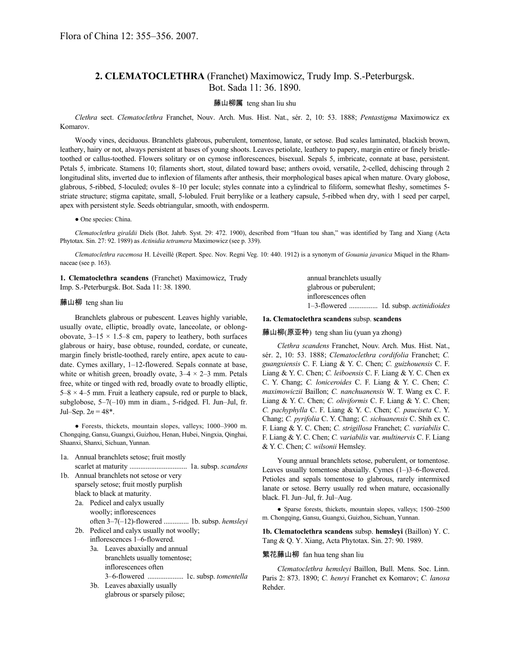# **2. CLEMATOCLETHRA** (Franchet) Maximowicz, Trudy Imp. S.-Peterburgsk. Bot. Sada 11: 36. 1890.

### 藤山柳属 teng shan liu shu

*Clethra* sect. *Clematoclethra* Franchet, Nouv. Arch. Mus. Hist. Nat., sér. 2, 10: 53. 1888; *Pentastigma* Maximowicz ex Komarov.

Woody vines, deciduous. Branchlets glabrous, puberulent, tomentose, lanate, or setose. Bud scales laminated, blackish brown, leathery, hairy or not, always persistent at bases of young shoots. Leaves petiolate, leathery to papery, margin entire or finely bristletoothed or callus-toothed. Flowers solitary or on cymose inflorescences, bisexual. Sepals 5, imbricate, connate at base, persistent. Petals 5, imbricate. Stamens 10; filaments short, stout, dilated toward base; anthers ovoid, versatile, 2-celled, dehiscing through 2 longitudinal slits, inverted due to inflexion of filaments after anthesis, their morphological bases apical when mature. Ovary globose, glabrous, 5-ribbed, 5-loculed; ovules 8–10 per locule; styles connate into a cylindrical to filiform, somewhat fleshy, sometimes 5 striate structure; stigma capitate, small, 5-lobuled. Fruit berrylike or a leathery capsule, 5-ribbed when dry, with 1 seed per carpel, apex with persistent style. Seeds obtriangular, smooth, with endosperm.

#### ● One species: China.

*Clematoclethra giraldii* Diels (Bot. Jahrb. Syst. 29: 472. 1900), described from "Huan tou shan," was identified by Tang and Xiang (Acta Phytotax. Sin. 27: 92. 1989) as *Actinidia tetramera* Maximowicz (see p. 339).

*Clematoclethra racemosa* H. Léveillé (Repert. Spec. Nov. Regni Veg. 10: 440. 1912) is a synonym of *Gouania javanica* Miquel in the Rhamnaceae (see p. 163).

**1. Clematoclethra scandens** (Franchet) Maximowicz, Trudy Imp. S.-Peterburgsk. Bot. Sada 11: 38. 1890.

### 藤山柳 teng shan liu

Branchlets glabrous or pubescent. Leaves highly variable, usually ovate, elliptic, broadly ovate, lanceolate, or oblongobovate,  $3-15 \times 1.5-8$  cm, papery to leathery, both surfaces glabrous or hairy, base obtuse, rounded, cordate, or cuneate, margin finely bristle-toothed, rarely entire, apex acute to caudate. Cymes axillary, 1–12-flowered. Sepals connate at base, white or whitish green, broadly ovate,  $3-4 \times 2-3$  mm. Petals free, white or tinged with red, broadly ovate to broadly elliptic,  $5-8 \times 4-5$  mm. Fruit a leathery capsule, red or purple to black, subglobose, 5–7(–10) mm in diam., 5-ridged. Fl. Jun–Jul, fr. Jul–Sep.  $2n = 48^*$ .

● Forests, thickets, mountain slopes, valleys; 1000–3900 m. Chongqing, Gansu, Guangxi, Guizhou, Henan, Hubei, Ningxia, Qinghai, Shaanxi, Shanxi, Sichuan, Yunnan.

- 1a. Annual branchlets setose; fruit mostly scarlet at maturity ................................ 1a. subsp. *scandens*
- 1b. Annual branchlets not setose or very sparsely setose; fruit mostly purplish black to black at maturity.
	- 2a. Pedicel and calyx usually woolly; inflorescences often 3–7(–12)-flowered .............. 1b. subsp. *hemsleyi*
	- 2b. Pedicel and calyx usually not woolly; inflorescences 1–6-flowered.
		- 3a. Leaves abaxially and annual branchlets usually tomentose; inflorescences often 3–6-flowered .................... 1c. subsp. *tomentella*
		- 3b. Leaves abaxially usually glabrous or sparsely pilose;

annual branchlets usually glabrous or puberulent; inflorescences often 1–3-flowered ................ 1d. subsp. *actinidioides*

### **1a. Clematoclethra scandens** subsp. **scandens**

藤山柳(原亚种) teng shan liu (yuan ya zhong)

*Clethra scandens* Franchet, Nouv. Arch. Mus. Hist. Nat., sér. 2, 10: 53. 1888; *Clematoclethra cordifolia* Franchet; *C. guangxiensis* C. F. Liang & Y. C. Chen; *C. guizhouensis* C. F. Liang & Y. C. Chen; *C. leiboensis* C. F. Liang & Y. C. Chen ex C. Y. Chang; *C. loniceroides* C. F. Liang & Y. C. Chen; *C. maximowiczii* Baillon; *C. nanchuanensis* W. T. Wang ex C. F. Liang & Y. C. Chen; *C. oliviformis* C. F. Liang & Y. C. Chen; *C. pachyphylla* C. F. Liang & Y. C. Chen; *C. pauciseta* C. Y. Chang; *C. pyrifolia* C. Y. Chang; *C. sichuanensis* C. Shih ex C. F. Liang & Y. C. Chen; *C. strigillosa* Franchet; *C. variabilis* C. F. Liang & Y. C. Chen; *C. variabilis* var. *multinervis* C. F. Liang & Y. C. Chen; *C. wilsonii* Hemsley.

Young annual branchlets setose, puberulent, or tomentose. Leaves usually tomentose abaxially. Cymes (1–)3–6-flowered. Petioles and sepals tomentose to glabrous, rarely intermixed lanate or setose. Berry usually red when mature, occasionally black. Fl. Jun–Jul, fr. Jul–Aug.

● Sparse forests, thickets, mountain slopes, valleys; 1500–2500 m. Chongqing, Gansu, Guangxi, Guizhou, Sichuan, Yunnan.

**1b. Clematoclethra scandens** subsp. **hemsleyi** (Baillon) Y. C. Tang & Q. Y. Xiang, Acta Phytotax. Sin. 27: 90. 1989.

## 繁花藤山柳 fan hua teng shan liu

*Clematoclethra hemsleyi* Baillon, Bull. Mens. Soc. Linn. Paris 2: 873. 1890; *C. henryi* Franchet ex Komarov; *C. lanosa* Rehder.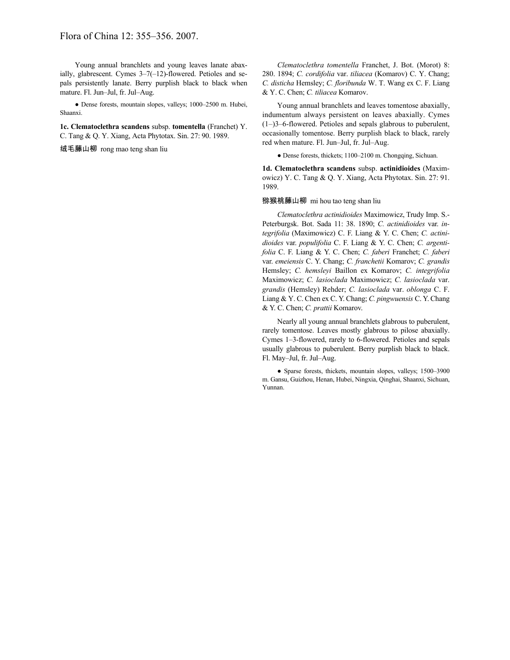Young annual branchlets and young leaves lanate abaxially, glabrescent. Cymes 3–7(–12)-flowered. Petioles and sepals persistently lanate. Berry purplish black to black when mature. Fl. Jun–Jul, fr. Jul–Aug.

● Dense forests, mountain slopes, valleys; 1000–2500 m. Hubei, Shaanxi.

**1c. Clematoclethra scandens** subsp. **tomentella** (Franchet) Y. C. Tang & Q. Y. Xiang, Acta Phytotax. Sin. 27: 90. 1989.

绒毛藤山柳 rong mao teng shan liu

*Clematoclethra tomentella* Franchet, J. Bot. (Morot) 8: 280. 1894; *C. cordifolia* var. *tiliacea* (Komarov) C. Y. Chang; *C. disticha* Hemsley; *C. floribunda* W. T. Wang ex C. F. Liang & Y. C. Chen; *C. tiliacea* Komarov.

Young annual branchlets and leaves tomentose abaxially, indumentum always persistent on leaves abaxially. Cymes (1–)3–6-flowered. Petioles and sepals glabrous to puberulent, occasionally tomentose. Berry purplish black to black, rarely red when mature. Fl. Jun–Jul, fr. Jul–Aug.

● Dense forests, thickets; 1100–2100 m. Chongqing, Sichuan.

**1d. Clematoclethra scandens** subsp. **actinidioides** (Maximowicz) Y. C. Tang & Q. Y. Xiang, Acta Phytotax. Sin. 27: 91. 1989.

#### 猕猴桃藤山柳 mi hou tao teng shan liu

*Clematoclethra actinidioides* Maximowicz, Trudy Imp. S.- Peterburgsk. Bot. Sada 11: 38. 1890; *C. actinidioides* var. *integrifolia* (Maximowicz) C. F. Liang & Y. C. Chen; *C. actinidioides* var. *populifolia* C. F. Liang & Y. C. Chen; *C. argentifolia* C. F. Liang & Y. C. Chen; *C. faberi* Franchet; *C. faberi* var. *emeiensis* C. Y. Chang; *C. franchetii* Komarov; *C. grandis* Hemsley; *C. hemsleyi* Baillon ex Komarov; *C. integrifolia* Maximowicz; *C. lasioclada* Maximowicz; *C. lasioclada* var. *grandis* (Hemsley) Rehder; *C. lasioclada* var. *oblonga* C. F. Liang & Y. C. Chen ex C. Y. Chang; *C. pingwuensis* C. Y. Chang & Y. C. Chen; *C. prattii* Komarov.

Nearly all young annual branchlets glabrous to puberulent, rarely tomentose. Leaves mostly glabrous to pilose abaxially. Cymes 1–3-flowered, rarely to 6-flowered. Petioles and sepals usually glabrous to puberulent. Berry purplish black to black. Fl. May–Jul, fr. Jul–Aug.

● Sparse forests, thickets, mountain slopes, valleys; 1500–3900 m. Gansu, Guizhou, Henan, Hubei, Ningxia, Qinghai, Shaanxi, Sichuan, Yunnan.